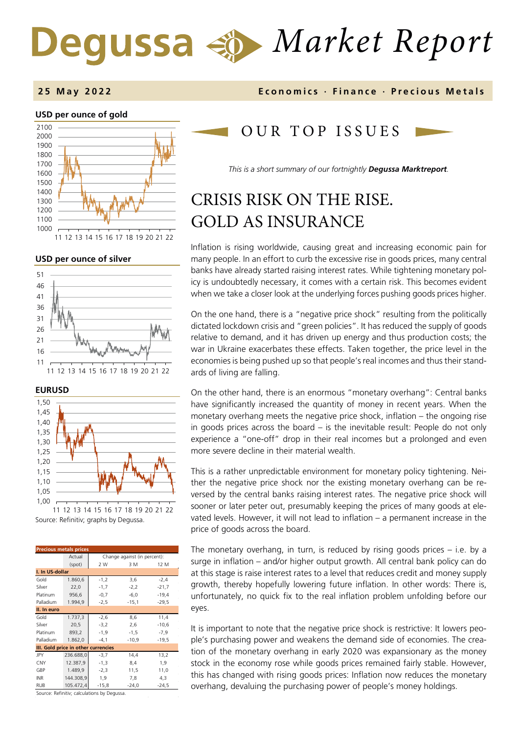# *Market Report* Degussa

#### **2 5 May 202 2 Economics · Finance · Precious Metals**

#### **USD per ounce of gold**  2100



11 12 13 14 15 16 17 18 19 20 21 22

#### **USD per ounce of silver**





Source: Refinitiv; graphs by Degussa. 11 12 13 14 15 16 17 18 19 20 21 22

| <b>Precious metals prices</b>       |           |                              |         |         |  |  |  |
|-------------------------------------|-----------|------------------------------|---------|---------|--|--|--|
|                                     | Actual    | Change against (in percent): |         |         |  |  |  |
|                                     | (spot)    | 2 W                          | 3 M     | 12 M    |  |  |  |
| I. In US-dollar                     |           |                              |         |         |  |  |  |
| Gold                                | 1.860,6   | $-1,2$                       | 3,6     | $-2,4$  |  |  |  |
| Silver                              | 22,0      | $-1,7$                       | $-2,2$  | $-21,7$ |  |  |  |
| Platinum                            | 956,6     | $-0,7$                       | $-6,0$  | $-19,4$ |  |  |  |
| Palladium                           | 1.994,9   | $-2,5$                       | $-15,1$ | $-29.5$ |  |  |  |
| II. In euro                         |           |                              |         |         |  |  |  |
| Gold                                | 1.737,3   | $-2,6$                       | 8,6     | 11,4    |  |  |  |
| Silver                              | 20,5      | $-3,2$                       | 2,6     | $-10,6$ |  |  |  |
| Platinum                            | 893,2     | $-1,9$                       | $-1,5$  | $-7,9$  |  |  |  |
| Palladium                           | 1.862,0   | $-4,1$                       | $-10,9$ | $-19,5$ |  |  |  |
| III. Gold price in other currencies |           |                              |         |         |  |  |  |
| JPY                                 | 236.688,0 | $-3,7$                       | 14,4    | 13,2    |  |  |  |
| CNY                                 | 12.387,9  | $-1,3$                       | 8,4     | 1,9     |  |  |  |
| GBP                                 | 1.489.9   | $-2,3$                       | 11,5    | 11,0    |  |  |  |
| <b>INR</b>                          | 144.308,9 | 1,9                          | 7,8     | 4,3     |  |  |  |
| <b>RUB</b>                          | 105.472,4 | $-15,8$                      | $-24,0$ | $-24,5$ |  |  |  |

Source: Refinitiv; calculations by Degussa.

# OUR TOP ISSUE S

*This is a short summary of our fortnightly Degussa Marktreport.* 

# CRISIS RISK ON THE RISE. GOLD AS INSURANCE

Inflation is rising worldwide, causing great and increasing economic pain for many people. In an effort to curb the excessive rise in goods prices, many central banks have already started raising interest rates. While tightening monetary policy is undoubtedly necessary, it comes with a certain risk. This becomes evident when we take a closer look at the underlying forces pushing goods prices higher.

On the one hand, there is a "negative price shock" resulting from the politically dictated lockdown crisis and "green policies". It has reduced the supply of goods relative to demand, and it has driven up energy and thus production costs; the war in Ukraine exacerbates these effects. Taken together, the price level in the economies is being pushed up so that people's real incomes and thus their standards of living are falling.

On the other hand, there is an enormous "monetary overhang": Central banks have significantly increased the quantity of money in recent years. When the monetary overhang meets the negative price shock, inflation – the ongoing rise in goods prices across the board – is the inevitable result: People do not only experience a "one-off" drop in their real incomes but a prolonged and even more severe decline in their material wealth.

This is a rather unpredictable environment for monetary policy tightening. Neither the negative price shock nor the existing monetary overhang can be reversed by the central banks raising interest rates. The negative price shock will sooner or later peter out, presumably keeping the prices of many goods at elevated levels. However, it will not lead to inflation – a permanent increase in the price of goods across the board.

The monetary overhang, in turn, is reduced by rising goods prices – i.e. by a surge in inflation – and/or higher output growth. All central bank policy can do at this stage is raise interest rates to a level that reduces credit and money supply growth, thereby hopefully lowering future inflation. In other words: There is, unfortunately, no quick fix to the real inflation problem unfolding before our eyes.

It is important to note that the negative price shock is restrictive: It lowers people's purchasing power and weakens the demand side of economies. The creation of the monetary overhang in early 2020 was expansionary as the money stock in the economy rose while goods prices remained fairly stable. However, this has changed with rising goods prices: Inflation now reduces the monetary overhang, devaluing the purchasing power of people's money holdings.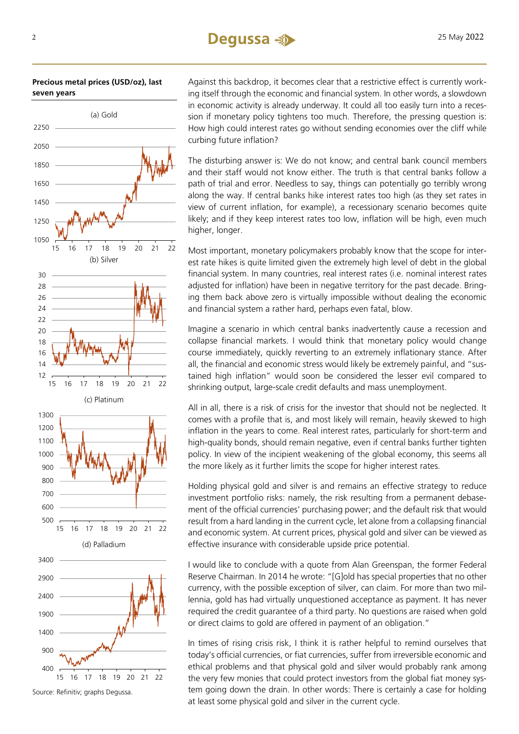**Precious metal prices (USD/oz), last seven years**



Source: Refinitiv; graphs Degussa.

Against this backdrop, it becomes clear that a restrictive effect is currently working itself through the economic and financial system. In other words, a slowdown in economic activity is already underway. It could all too easily turn into a recession if monetary policy tightens too much. Therefore, the pressing question is: How high could interest rates go without sending economies over the cliff while curbing future inflation?

The disturbing answer is: We do not know; and central bank council members and their staff would not know either. The truth is that central banks follow a path of trial and error. Needless to say, things can potentially go terribly wrong along the way. If central banks hike interest rates too high (as they set rates in view of current inflation, for example), a recessionary scenario becomes quite likely; and if they keep interest rates too low, inflation will be high, even much higher, longer.

Most important, monetary policymakers probably know that the scope for interest rate hikes is quite limited given the extremely high level of debt in the global financial system. In many countries, real interest rates (i.e. nominal interest rates adjusted for inflation) have been in negative territory for the past decade. Bringing them back above zero is virtually impossible without dealing the economic and financial system a rather hard, perhaps even fatal, blow.

Imagine a scenario in which central banks inadvertently cause a recession and collapse financial markets. I would think that monetary policy would change course immediately, quickly reverting to an extremely inflationary stance. After all, the financial and economic stress would likely be extremely painful, and "sustained high inflation" would soon be considered the lesser evil compared to shrinking output, large-scale credit defaults and mass unemployment.

All in all, there is a risk of crisis for the investor that should not be neglected. It comes with a profile that is, and most likely will remain, heavily skewed to high inflation in the years to come. Real interest rates, particularly for short-term and high-quality bonds, should remain negative, even if central banks further tighten policy. In view of the incipient weakening of the global economy, this seems all the more likely as it further limits the scope for higher interest rates.

Holding physical gold and silver is and remains an effective strategy to reduce investment portfolio risks: namely, the risk resulting from a permanent debasement of the official currencies' purchasing power; and the default risk that would result from a hard landing in the current cycle, let alone from a collapsing financial and economic system. At current prices, physical gold and silver can be viewed as effective insurance with considerable upside price potential.

I would like to conclude with a quote from Alan Greenspan, the former Federal Reserve Chairman. In 2014 he wrote: "[G]old has special properties that no other currency, with the possible exception of silver, can claim. For more than two millennia, gold has had virtually unquestioned acceptance as payment. It has never required the credit guarantee of a third party. No questions are raised when gold or direct claims to gold are offered in payment of an obligation."

In times of rising crisis risk, I think it is rather helpful to remind ourselves that today's official currencies, or fiat currencies, suffer from irreversible economic and ethical problems and that physical gold and silver would probably rank among the very few monies that could protect investors from the global fiat money system going down the drain. In other words: There is certainly a case for holding at least some physical gold and silver in the current cycle.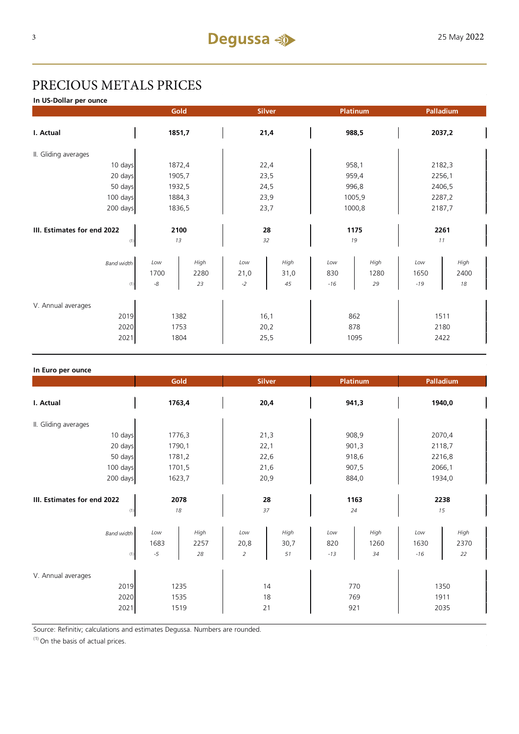# PRECIOUS METALS PRICES

**In US-Dollar per ounce**

|                                     |             | Gold   |      | <b>Silver</b> | Platinum |        |        | Palladium |  |
|-------------------------------------|-------------|--------|------|---------------|----------|--------|--------|-----------|--|
| I. Actual                           | 1851,7      |        | 21,4 |               | 988,5    |        | 2037,2 |           |  |
| II. Gliding averages                |             |        |      |               |          |        |        |           |  |
| 10 days                             |             | 1872,4 | 22,4 |               | 958,1    |        | 2182,3 |           |  |
| 20 days                             |             | 1905,7 | 23,5 |               | 959,4    |        | 2256,1 |           |  |
| 50 days                             |             | 1932,5 |      | 24,5          |          | 996,8  |        | 2406,5    |  |
| 100 days                            |             | 1884,3 |      | 23,9          |          | 1005,9 |        | 2287,2    |  |
| 200 days                            | 1836,5      |        | 23,7 |               | 1000,8   |        | 2187,7 |           |  |
|                                     |             |        |      |               |          |        |        |           |  |
| III. Estimates for end 2022<br>2100 |             | 28     |      | 1175          |          | 2261   |        |           |  |
| (1)                                 |             | 13     |      | 32            | 19       |        | 11     |           |  |
| <b>Band width</b>                   | Low         | High   | Low  | High          | Low      | High   | Low    | High      |  |
|                                     | 1700        | 2280   | 21,0 | 31,0          | 830      | 1280   | 1650   | 2400      |  |
| (1)                                 | $\text{-}8$ | 23     | $-2$ | 45            | $-16$    | 29     | $-19$  | 18        |  |
| V. Annual averages                  |             |        |      |               |          |        |        |           |  |
| 2019                                | 1382        |        | 16,1 |               | 862      |        | 1511   |           |  |
| 2020                                | 1753        |        | 20,2 |               | 878      |        | 2180   |           |  |
| 2021                                |             | 1804   |      | 25,5          |          | 1095   |        | 2422      |  |

| In Euro per ounce                          |                      |                    |                               |                    |                     |                    |                      |                    |  |
|--------------------------------------------|----------------------|--------------------|-------------------------------|--------------------|---------------------|--------------------|----------------------|--------------------|--|
|                                            | Gold                 |                    | <b>Silver</b>                 |                    | Platinum            |                    | Palladium            |                    |  |
| I. Actual                                  | 1763,4               |                    | 20,4                          |                    | 941,3               |                    | 1940,0               |                    |  |
| II. Gliding averages                       |                      |                    |                               |                    |                     |                    |                      |                    |  |
| 10 days                                    |                      | 1776,3             | 21,3                          |                    |                     | 908,9              | 2070,4               |                    |  |
| 20 days                                    |                      | 1790,1             |                               | 22,1               |                     | 901,3              |                      | 2118,7             |  |
| 50 days                                    |                      | 1781,2             |                               | 22,6               |                     | 918,6              |                      | 2216,8             |  |
| 100 days                                   |                      | 1701,5             |                               | 21,6               |                     | 907,5              |                      | 2066,1             |  |
| 200 days                                   | 1623,7               |                    | 20,9                          |                    | 884,0               |                    | 1934,0               |                    |  |
| III. Estimates for end 2022<br>(1)         | 2078<br>18           |                    | 28<br>37                      |                    | 1163<br>24          |                    | 2238<br>15           |                    |  |
| <b>Band width</b><br>(1)                   | Low<br>1683<br>$-5$  | High<br>2257<br>28 | Low<br>20,8<br>$\overline{2}$ | High<br>30,7<br>51 | Low<br>820<br>$-13$ | High<br>1260<br>34 | Low<br>1630<br>$-16$ | High<br>2370<br>22 |  |
| V. Annual averages<br>2019<br>2020<br>2021 | 1235<br>1535<br>1519 |                    | 14<br>18<br>21                |                    | 770<br>769<br>921   |                    | 1350<br>1911<br>2035 |                    |  |

Source: Refinitiv; calculations and estimates Degussa. Numbers are rounded.

 $(1)$  On the basis of actual prices.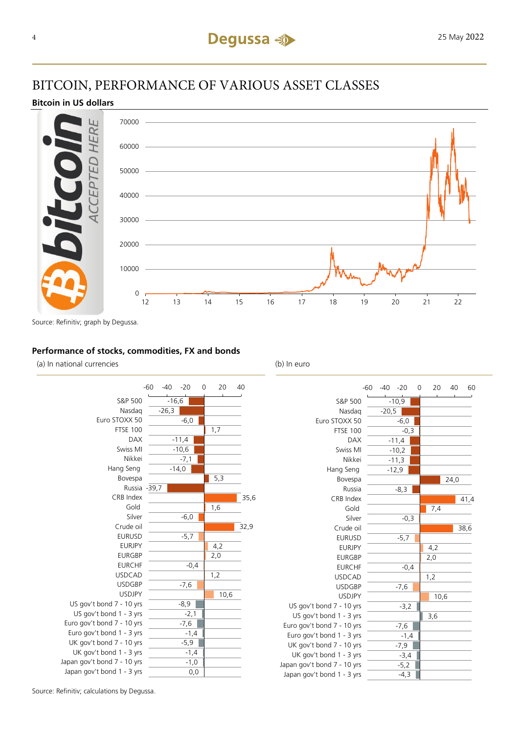### BITCOIN, PERFORMANCE OF VARIOUS ASSET CLASSES

#### **Bitcoin in US dollars**



Source: Refinitiv; graph by Degussa.

#### **Performance of stocks, commodities, FX and bonds**

(a) In national currencies (b) In euro



|                             | -60 | $-40$   | $-20$   | 0 | 20   | 40   | 60   |
|-----------------------------|-----|---------|---------|---|------|------|------|
| S&P 500                     |     |         | $-10,9$ |   |      |      |      |
| Nasdag                      |     | $-20,5$ |         |   |      |      |      |
| Euro STOXX 50               |     |         | $-6,0$  |   |      |      |      |
| <b>FTSE 100</b>             |     |         | $-0,3$  |   |      |      |      |
| <b>DAX</b>                  |     |         | $-11,4$ |   |      |      |      |
| Swiss MI                    |     |         | $-10,2$ |   |      |      |      |
| Nikkei                      |     |         | $-11,3$ |   |      |      |      |
| Hang Seng                   |     |         | $-12,9$ |   |      |      |      |
| Bovespa                     |     |         |         |   |      | 24,0 |      |
| Russia                      |     |         | $-8,3$  |   |      |      |      |
| CRB Index                   |     |         |         |   |      |      | 41,4 |
| Gold                        |     |         |         |   | 7,4  |      |      |
| Silver                      |     |         | $-0,3$  |   |      |      |      |
| Crude oil                   |     |         |         |   |      |      | 38,6 |
| <b>EURUSD</b>               |     |         | $-5,7$  |   |      |      |      |
| <b>EURJPY</b>               |     |         |         |   | 4,2  |      |      |
| <b>EURGBP</b>               |     |         |         |   | 2,0  |      |      |
| <b>EURCHF</b>               |     |         | $-0,4$  |   |      |      |      |
| <b>USDCAD</b>               |     |         |         |   | 1,2  |      |      |
| <b>USDGBP</b>               |     |         | $-7,6$  |   |      |      |      |
| <b>USDJPY</b>               |     |         |         |   | 10,6 |      |      |
| US gov't bond 7 - 10 yrs    |     |         | $-3,2$  |   |      |      |      |
| US gov't bond 1 - 3 yrs     |     |         |         |   | 3,6  |      |      |
| Euro gov't bond 7 - 10 yrs  |     |         | $-7,6$  |   |      |      |      |
| Euro gov't bond 1 - 3 yrs   |     |         | $-1,4$  |   |      |      |      |
| UK gov't bond 7 - 10 yrs    |     |         | $-7,9$  |   |      |      |      |
| UK gov't bond 1 - 3 yrs     |     |         | $-3,4$  |   |      |      |      |
| Japan gov't bond 7 - 10 yrs |     |         | $-5,2$  |   |      |      |      |
| Japan gov't bond 1 - 3 yrs  |     |         | -4,3    |   |      |      |      |

Source: Refinitiv; calculations by Degussa.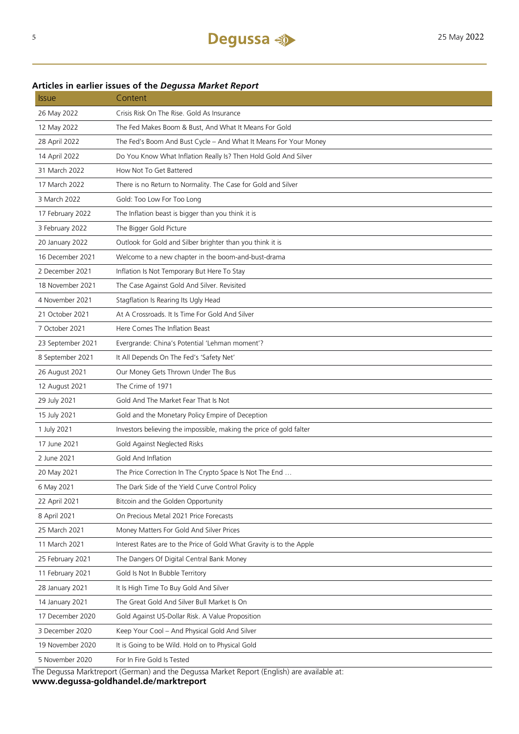### **Articles in earlier issues of the** *Degussa Market Report*

| <i><b>Issue</b></i> | Content                                                              |
|---------------------|----------------------------------------------------------------------|
| 26 May 2022         | Crisis Risk On The Rise. Gold As Insurance                           |
| 12 May 2022         | The Fed Makes Boom & Bust, And What It Means For Gold                |
| 28 April 2022       | The Fed's Boom And Bust Cycle - And What It Means For Your Money     |
| 14 April 2022       | Do You Know What Inflation Really Is? Then Hold Gold And Silver      |
| 31 March 2022       | How Not To Get Battered                                              |
| 17 March 2022       | There is no Return to Normality. The Case for Gold and Silver        |
| 3 March 2022        | Gold: Too Low For Too Long                                           |
| 17 February 2022    | The Inflation beast is bigger than you think it is                   |
| 3 February 2022     | The Bigger Gold Picture                                              |
| 20 January 2022     | Outlook for Gold and Silber brighter than you think it is            |
| 16 December 2021    | Welcome to a new chapter in the boom-and-bust-drama                  |
| 2 December 2021     | Inflation Is Not Temporary But Here To Stay                          |
| 18 November 2021    | The Case Against Gold And Silver. Revisited                          |
| 4 November 2021     | Stagflation Is Rearing Its Ugly Head                                 |
| 21 October 2021     | At A Crossroads. It Is Time For Gold And Silver                      |
| 7 October 2021      | Here Comes The Inflation Beast                                       |
| 23 September 2021   | Evergrande: China's Potential 'Lehman moment'?                       |
| 8 September 2021    | It All Depends On The Fed's 'Safety Net'                             |
| 26 August 2021      | Our Money Gets Thrown Under The Bus                                  |
| 12 August 2021      | The Crime of 1971                                                    |
| 29 July 2021        | Gold And The Market Fear That Is Not                                 |
| 15 July 2021        | Gold and the Monetary Policy Empire of Deception                     |
| 1 July 2021         | Investors believing the impossible, making the price of gold falter  |
| 17 June 2021        | Gold Against Neglected Risks                                         |
| 2 June 2021         | Gold And Inflation                                                   |
| 20 May 2021         | The Price Correction In The Crypto Space Is Not The End              |
| 6 May 2021          | The Dark Side of the Yield Curve Control Policy                      |
| 22 April 2021       | Bitcoin and the Golden Opportunity                                   |
| 8 April 2021        | On Precious Metal 2021 Price Forecasts                               |
| 25 March 2021       | Money Matters For Gold And Silver Prices                             |
| 11 March 2021       | Interest Rates are to the Price of Gold What Gravity is to the Apple |
| 25 February 2021    | The Dangers Of Digital Central Bank Money                            |
| 11 February 2021    | Gold Is Not In Bubble Territory                                      |
| 28 January 2021     | It Is High Time To Buy Gold And Silver                               |
| 14 January 2021     | The Great Gold And Silver Bull Market Is On                          |
| 17 December 2020    | Gold Against US-Dollar Risk. A Value Proposition                     |
| 3 December 2020     | Keep Your Cool - And Physical Gold And Silver                        |
| 19 November 2020    | It is Going to be Wild. Hold on to Physical Gold                     |
| 5 November 2020     | For In Fire Gold Is Tested                                           |

The Degussa Marktreport (German) and the Degussa Market Report (English) are available at: **www.degussa-goldhandel.de/marktreport**